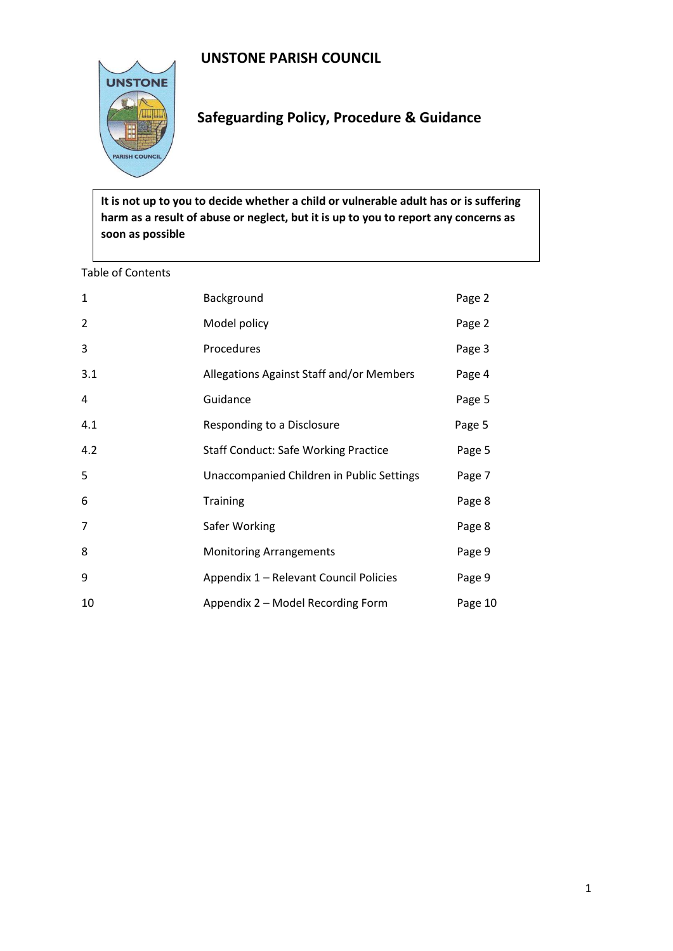# **UNSTONE PARISH COUNCIL**



# **Safeguarding Policy, Procedure & Guidance**

**It is not up to you to decide whether a child or vulnerable adult has or is suffering harm as a result of abuse or neglect, but it is up to you to report any concerns as soon as possible**

#### Table of Contents

| 1   | Background                                  | Page 2  |
|-----|---------------------------------------------|---------|
| 2   | Model policy                                | Page 2  |
| 3   | Procedures                                  | Page 3  |
| 3.1 | Allegations Against Staff and/or Members    | Page 4  |
| 4   | Guidance                                    | Page 5  |
| 4.1 | Responding to a Disclosure                  | Page 5  |
| 4.2 | <b>Staff Conduct: Safe Working Practice</b> | Page 5  |
| 5   | Unaccompanied Children in Public Settings   | Page 7  |
| 6   | <b>Training</b>                             | Page 8  |
| 7   | Safer Working                               | Page 8  |
| 8   | <b>Monitoring Arrangements</b>              | Page 9  |
| 9   | Appendix 1 - Relevant Council Policies      | Page 9  |
| 10  | Appendix 2 – Model Recording Form           | Page 10 |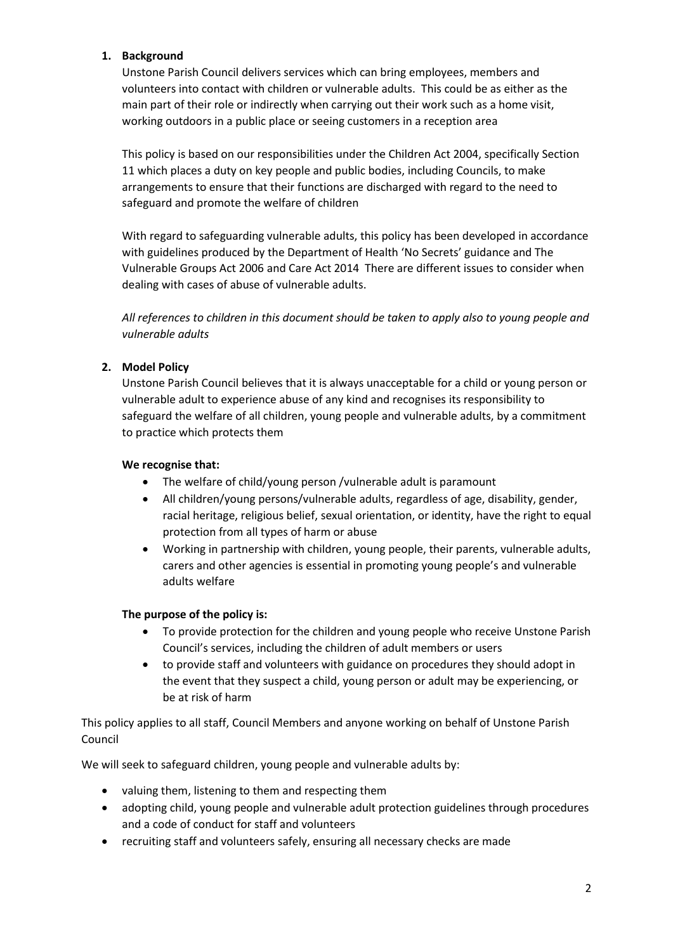## **1. Background**

Unstone Parish Council delivers services which can bring employees, members and volunteers into contact with children or vulnerable adults. This could be as either as the main part of their role or indirectly when carrying out their work such as a home visit, working outdoors in a public place or seeing customers in a reception area

This policy is based on our responsibilities under the Children Act 2004, specifically Section 11 which places a duty on key people and public bodies, including Councils, to make arrangements to ensure that their functions are discharged with regard to the need to safeguard and promote the welfare of children

With regard to safeguarding vulnerable adults, this policy has been developed in accordance with guidelines produced by the Department of Health 'No Secrets' guidance and The Vulnerable Groups Act 2006 and Care Act 2014 There are different issues to consider when dealing with cases of abuse of vulnerable adults.

*All references to children in this document should be taken to apply also to young people and vulnerable adults*

## **2. Model Policy**

Unstone Parish Council believes that it is always unacceptable for a child or young person or vulnerable adult to experience abuse of any kind and recognises its responsibility to safeguard the welfare of all children, young people and vulnerable adults, by a commitment to practice which protects them

## **We recognise that:**

- The welfare of child/young person /vulnerable adult is paramount
- All children/young persons/vulnerable adults, regardless of age, disability, gender, racial heritage, religious belief, sexual orientation, or identity, have the right to equal protection from all types of harm or abuse
- Working in partnership with children, young people, their parents, vulnerable adults, carers and other agencies is essential in promoting young people's and vulnerable adults welfare

## **The purpose of the policy is:**

- To provide protection for the children and young people who receive Unstone Parish Council's services, including the children of adult members or users
- to provide staff and volunteers with guidance on procedures they should adopt in the event that they suspect a child, young person or adult may be experiencing, or be at risk of harm

This policy applies to all staff, Council Members and anyone working on behalf of Unstone Parish Council

We will seek to safeguard children, young people and vulnerable adults by:

- valuing them, listening to them and respecting them
- adopting child, young people and vulnerable adult protection guidelines through procedures and a code of conduct for staff and volunteers
- recruiting staff and volunteers safely, ensuring all necessary checks are made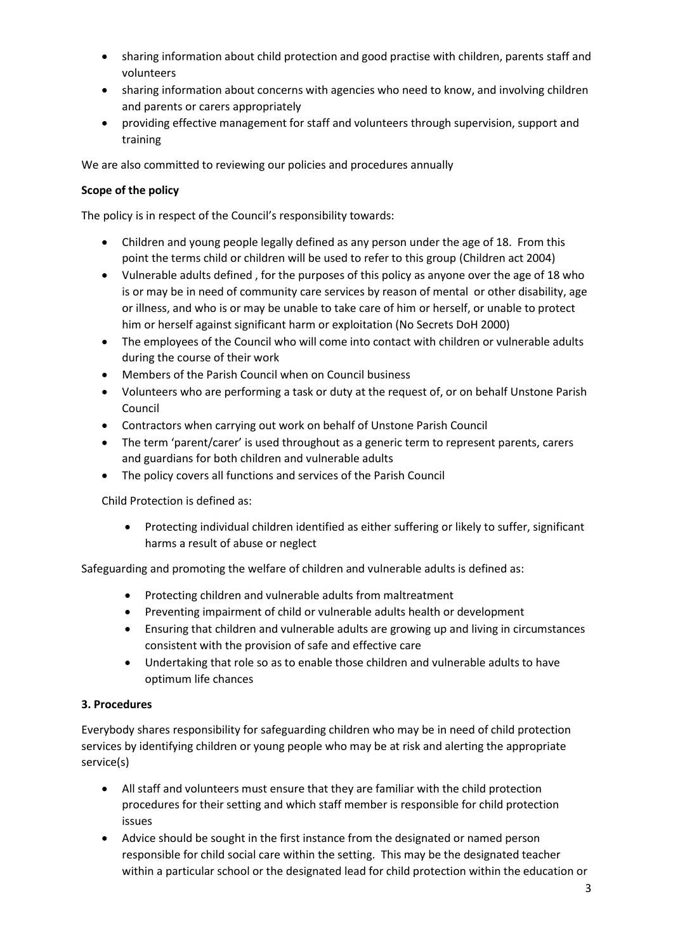- sharing information about child protection and good practise with children, parents staff and volunteers
- sharing information about concerns with agencies who need to know, and involving children and parents or carers appropriately
- providing effective management for staff and volunteers through supervision, support and training

We are also committed to reviewing our policies and procedures annually

## **Scope of the policy**

The policy is in respect of the Council's responsibility towards:

- Children and young people legally defined as any person under the age of 18. From this point the terms child or children will be used to refer to this group (Children act 2004)
- Vulnerable adults defined , for the purposes of this policy as anyone over the age of 18 who is or may be in need of community care services by reason of mental or other disability, age or illness, and who is or may be unable to take care of him or herself, or unable to protect him or herself against significant harm or exploitation (No Secrets DoH 2000)
- The employees of the Council who will come into contact with children or vulnerable adults during the course of their work
- Members of the Parish Council when on Council business
- Volunteers who are performing a task or duty at the request of, or on behalf Unstone Parish Council
- Contractors when carrying out work on behalf of Unstone Parish Council
- The term 'parent/carer' is used throughout as a generic term to represent parents, carers and guardians for both children and vulnerable adults
- The policy covers all functions and services of the Parish Council

Child Protection is defined as:

• Protecting individual children identified as either suffering or likely to suffer, significant harms a result of abuse or neglect

Safeguarding and promoting the welfare of children and vulnerable adults is defined as:

- Protecting children and vulnerable adults from maltreatment
- Preventing impairment of child or vulnerable adults health or development
- Ensuring that children and vulnerable adults are growing up and living in circumstances consistent with the provision of safe and effective care
- Undertaking that role so as to enable those children and vulnerable adults to have optimum life chances

## **3. Procedures**

Everybody shares responsibility for safeguarding children who may be in need of child protection services by identifying children or young people who may be at risk and alerting the appropriate service(s)

- All staff and volunteers must ensure that they are familiar with the child protection procedures for their setting and which staff member is responsible for child protection issues
- Advice should be sought in the first instance from the designated or named person responsible for child social care within the setting. This may be the designated teacher within a particular school or the designated lead for child protection within the education or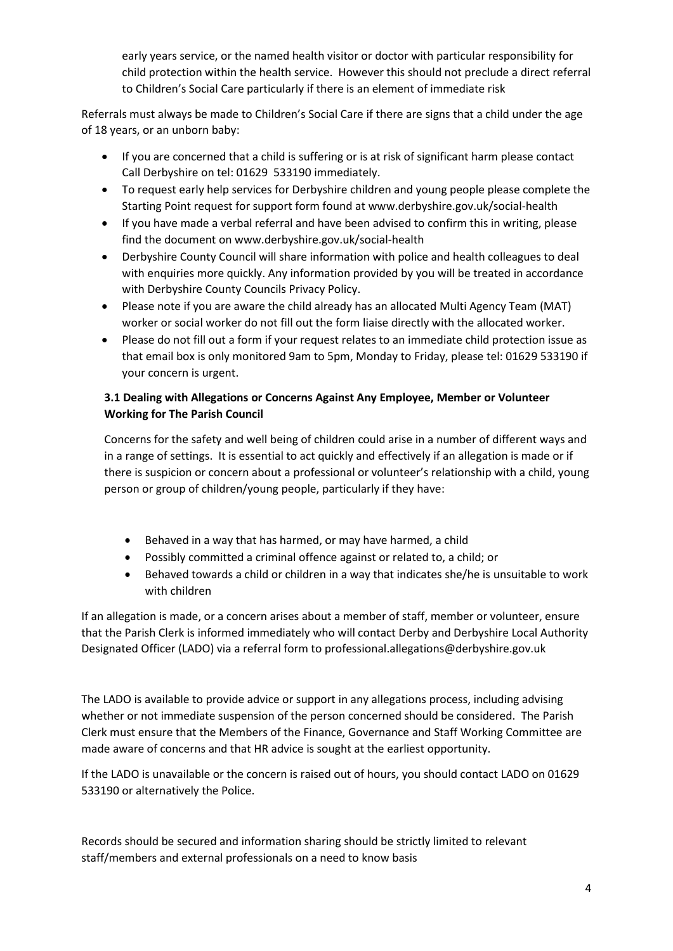early years service, or the named health visitor or doctor with particular responsibility for child protection within the health service. However this should not preclude a direct referral to Children's Social Care particularly if there is an element of immediate risk

Referrals must always be made to Children's Social Care if there are signs that a child under the age of 18 years, or an unborn baby:

- If you are concerned that a child is suffering or is at risk of significant harm please contact Call Derbyshire on tel: 01629 533190 immediately.
- To request early help services for Derbyshire children and young people please complete the Starting Point request for support form found at www.derbyshire.gov.uk/social-health
- If you have made a verbal referral and have been advised to confirm this in writing, please find the document on www.derbyshire.gov.uk/social-health
- Derbyshire County Council will share information with police and health colleagues to deal with enquiries more quickly. Any information provided by you will be treated in accordance with Derbyshire County Councils Privacy Policy.
- Please note if you are aware the child already has an allocated Multi Agency Team (MAT) worker or social worker do not fill out the form liaise directly with the allocated worker.
- Please do not fill out a form if your request relates to an immediate child protection issue as that email box is only monitored 9am to 5pm, Monday to Friday, please tel: 01629 533190 if your concern is urgent.

# **3.1 Dealing with Allegations or Concerns Against Any Employee, Member or Volunteer Working for The Parish Council**

Concerns for the safety and well being of children could arise in a number of different ways and in a range of settings. It is essential to act quickly and effectively if an allegation is made or if there is suspicion or concern about a professional or volunteer's relationship with a child, young person or group of children/young people, particularly if they have:

- Behaved in a way that has harmed, or may have harmed, a child
- Possibly committed a criminal offence against or related to, a child; or
- Behaved towards a child or children in a way that indicates she/he is unsuitable to work with children

If an allegation is made, or a concern arises about a member of staff, member or volunteer, ensure that the Parish Clerk is informed immediately who will contact Derby and Derbyshire Local Authority Designated Officer (LADO) via a referral form to professional.allegations@derbyshire.gov.uk

The LADO is available to provide advice or support in any allegations process, including advising whether or not immediate suspension of the person concerned should be considered. The Parish Clerk must ensure that the Members of the Finance, Governance and Staff Working Committee are made aware of concerns and that HR advice is sought at the earliest opportunity.

If the LADO is unavailable or the concern is raised out of hours, you should contact LADO on 01629 533190 or alternatively the Police.

Records should be secured and information sharing should be strictly limited to relevant staff/members and external professionals on a need to know basis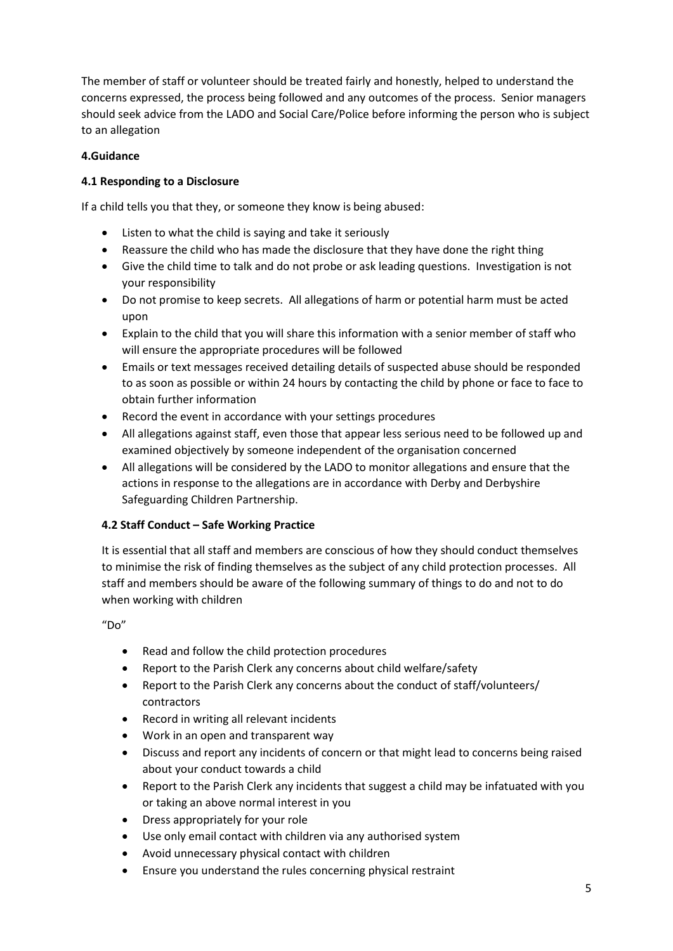The member of staff or volunteer should be treated fairly and honestly, helped to understand the concerns expressed, the process being followed and any outcomes of the process. Senior managers should seek advice from the LADO and Social Care/Police before informing the person who is subject to an allegation

## **4.Guidance**

## **4.1 Responding to a Disclosure**

If a child tells you that they, or someone they know is being abused:

- Listen to what the child is saying and take it seriously
- Reassure the child who has made the disclosure that they have done the right thing
- Give the child time to talk and do not probe or ask leading questions. Investigation is not your responsibility
- Do not promise to keep secrets. All allegations of harm or potential harm must be acted upon
- Explain to the child that you will share this information with a senior member of staff who will ensure the appropriate procedures will be followed
- Emails or text messages received detailing details of suspected abuse should be responded to as soon as possible or within 24 hours by contacting the child by phone or face to face to obtain further information
- Record the event in accordance with your settings procedures
- All allegations against staff, even those that appear less serious need to be followed up and examined objectively by someone independent of the organisation concerned
- All allegations will be considered by the LADO to monitor allegations and ensure that the actions in response to the allegations are in accordance with Derby and Derbyshire Safeguarding Children Partnership.

# **4.2 Staff Conduct – Safe Working Practice**

It is essential that all staff and members are conscious of how they should conduct themselves to minimise the risk of finding themselves as the subject of any child protection processes. All staff and members should be aware of the following summary of things to do and not to do when working with children

"Do"

- Read and follow the child protection procedures
- Report to the Parish Clerk any concerns about child welfare/safety
- Report to the Parish Clerk any concerns about the conduct of staff/volunteers/ contractors
- Record in writing all relevant incidents
- Work in an open and transparent way
- Discuss and report any incidents of concern or that might lead to concerns being raised about your conduct towards a child
- Report to the Parish Clerk any incidents that suggest a child may be infatuated with you or taking an above normal interest in you
- Dress appropriately for your role
- Use only email contact with children via any authorised system
- Avoid unnecessary physical contact with children
- Ensure you understand the rules concerning physical restraint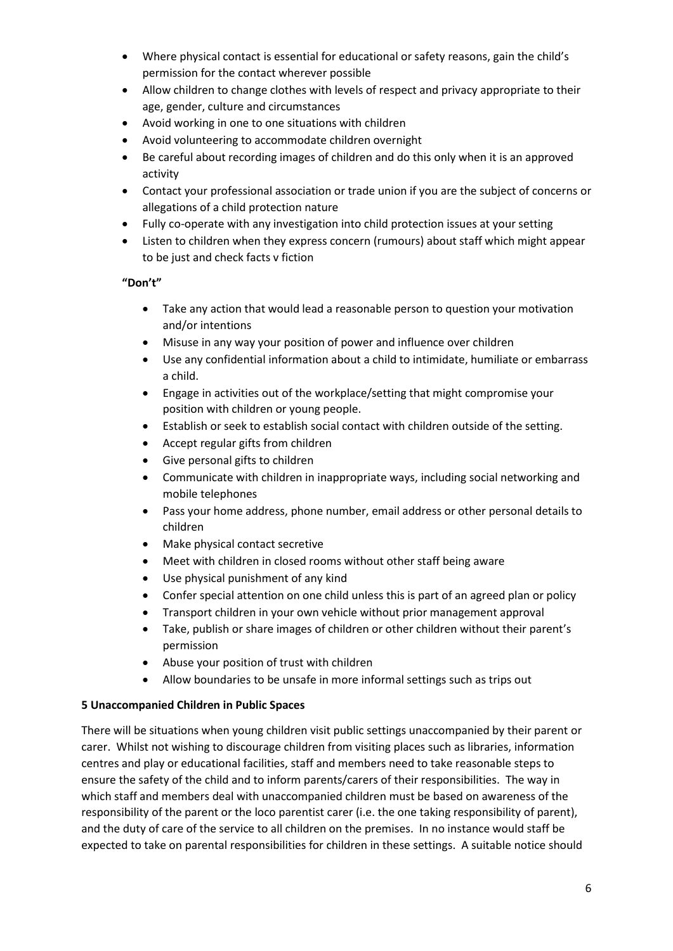- Where physical contact is essential for educational or safety reasons, gain the child's permission for the contact wherever possible
- Allow children to change clothes with levels of respect and privacy appropriate to their age, gender, culture and circumstances
- Avoid working in one to one situations with children
- Avoid volunteering to accommodate children overnight
- Be careful about recording images of children and do this only when it is an approved activity
- Contact your professional association or trade union if you are the subject of concerns or allegations of a child protection nature
- Fully co-operate with any investigation into child protection issues at your setting
- Listen to children when they express concern (rumours) about staff which might appear to be just and check facts v fiction

## **"Don't"**

- Take any action that would lead a reasonable person to question your motivation and/or intentions
- Misuse in any way your position of power and influence over children
- Use any confidential information about a child to intimidate, humiliate or embarrass a child.
- Engage in activities out of the workplace/setting that might compromise your position with children or young people.
- Establish or seek to establish social contact with children outside of the setting.
- Accept regular gifts from children
- Give personal gifts to children
- Communicate with children in inappropriate ways, including social networking and mobile telephones
- Pass your home address, phone number, email address or other personal details to children
- Make physical contact secretive
- Meet with children in closed rooms without other staff being aware
- Use physical punishment of any kind
- Confer special attention on one child unless this is part of an agreed plan or policy
- Transport children in your own vehicle without prior management approval
- Take, publish or share images of children or other children without their parent's permission
- Abuse your position of trust with children
- Allow boundaries to be unsafe in more informal settings such as trips out

## **5 Unaccompanied Children in Public Spaces**

There will be situations when young children visit public settings unaccompanied by their parent or carer. Whilst not wishing to discourage children from visiting places such as libraries, information centres and play or educational facilities, staff and members need to take reasonable steps to ensure the safety of the child and to inform parents/carers of their responsibilities. The way in which staff and members deal with unaccompanied children must be based on awareness of the responsibility of the parent or the loco parentist carer (i.e. the one taking responsibility of parent), and the duty of care of the service to all children on the premises. In no instance would staff be expected to take on parental responsibilities for children in these settings. A suitable notice should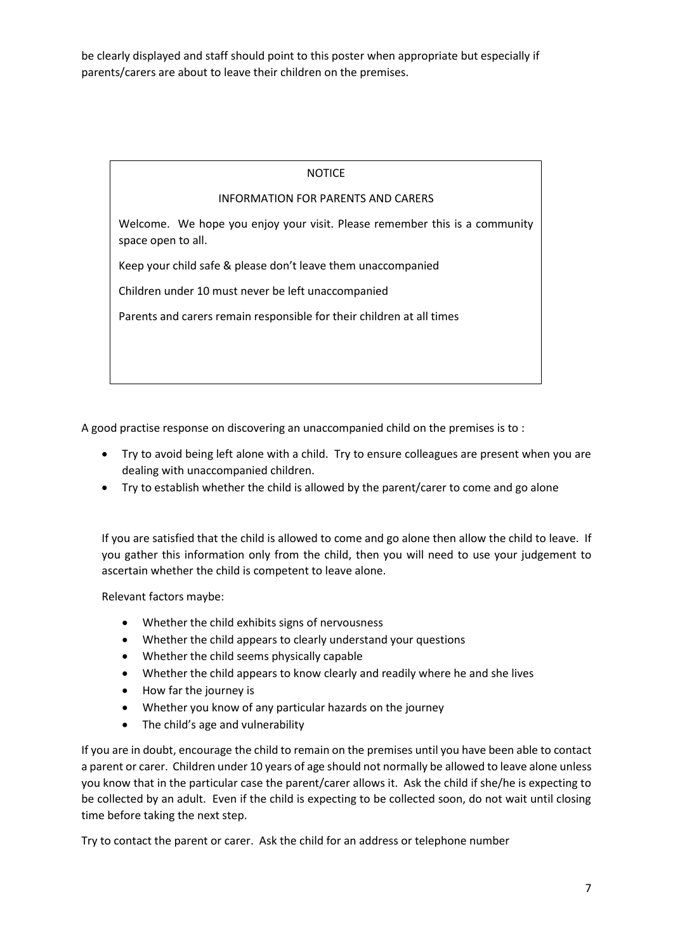be clearly displayed and staff should point to this poster when appropriate but especially if parents/carers are about to leave their children on the premises.

#### NOTICE

#### INFORMATION FOR PARENTS AND CARERS

Welcome. We hope you enjoy your visit. Please remember this is a community space open to all.

Keep your child safe & please don't leave them unaccompanied

Children under 10 must never be left unaccompanied

Parents and carers remain responsible for their children at all times

A good practise response on discovering an unaccompanied child on the premises is to :

- Try to avoid being left alone with a child. Try to ensure colleagues are present when you are dealing with unaccompanied children.
- Try to establish whether the child is allowed by the parent/carer to come and go alone

If you are satisfied that the child is allowed to come and go alone then allow the child to leave. If you gather this information only from the child, then you will need to use your judgement to ascertain whether the child is competent to leave alone.

Relevant factors maybe:

- Whether the child exhibits signs of nervousness
- Whether the child appears to clearly understand your questions
- Whether the child seems physically capable
- Whether the child appears to know clearly and readily where he and she lives
- How far the journey is
- Whether you know of any particular hazards on the journey
- The child's age and vulnerability

If you are in doubt, encourage the child to remain on the premises until you have been able to contact a parent or carer. Children under 10 years of age should not normally be allowed to leave alone unless you know that in the particular case the parent/carer allows it. Ask the child if she/he is expecting to be collected by an adult. Even if the child is expecting to be collected soon, do not wait until closing time before taking the next step.

Try to contact the parent or carer. Ask the child for an address or telephone number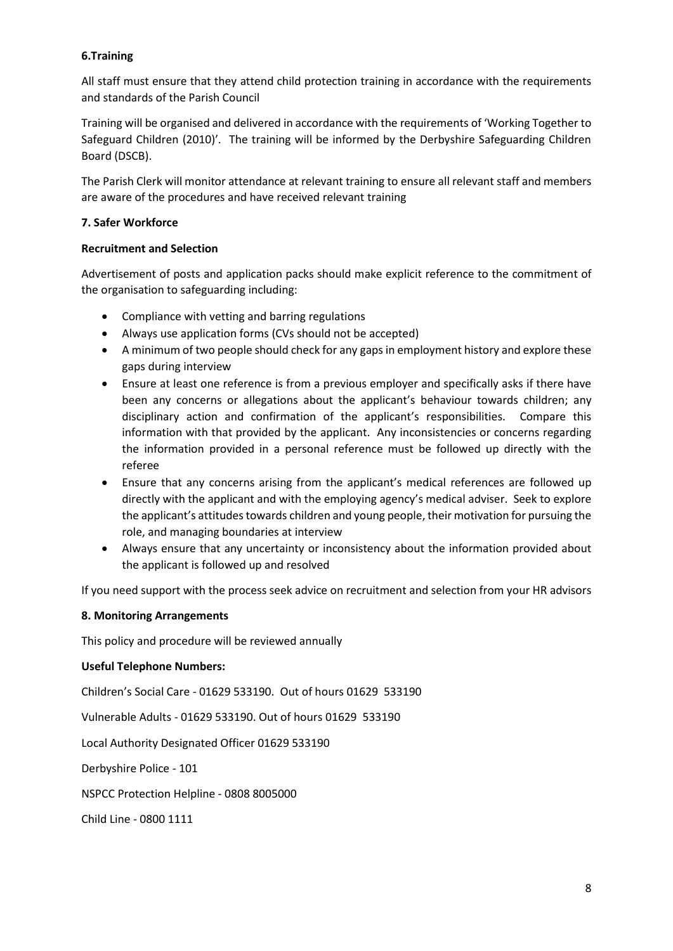## **6.Training**

All staff must ensure that they attend child protection training in accordance with the requirements and standards of the Parish Council

Training will be organised and delivered in accordance with the requirements of 'Working Together to Safeguard Children (2010)'. The training will be informed by the Derbyshire Safeguarding Children Board (DSCB).

The Parish Clerk will monitor attendance at relevant training to ensure all relevant staff and members are aware of the procedures and have received relevant training

#### **7. Safer Workforce**

#### **Recruitment and Selection**

Advertisement of posts and application packs should make explicit reference to the commitment of the organisation to safeguarding including:

- Compliance with vetting and barring regulations
- Always use application forms (CVs should not be accepted)
- A minimum of two people should check for any gaps in employment history and explore these gaps during interview
- Ensure at least one reference is from a previous employer and specifically asks if there have been any concerns or allegations about the applicant's behaviour towards children; any disciplinary action and confirmation of the applicant's responsibilities. Compare this information with that provided by the applicant. Any inconsistencies or concerns regarding the information provided in a personal reference must be followed up directly with the referee
- Ensure that any concerns arising from the applicant's medical references are followed up directly with the applicant and with the employing agency's medical adviser. Seek to explore the applicant's attitudes towards children and young people, their motivation for pursuing the role, and managing boundaries at interview
- Always ensure that any uncertainty or inconsistency about the information provided about the applicant is followed up and resolved

If you need support with the process seek advice on recruitment and selection from your HR advisors

#### **8. Monitoring Arrangements**

This policy and procedure will be reviewed annually

#### **Useful Telephone Numbers:**

Children's Social Care - 01629 533190. Out of hours 01629 533190

Vulnerable Adults - 01629 533190. Out of hours 01629 533190

Local Authority Designated Officer 01629 533190

Derbyshire Police - 101

NSPCC Protection Helpline - 0808 8005000

Child Line - 0800 1111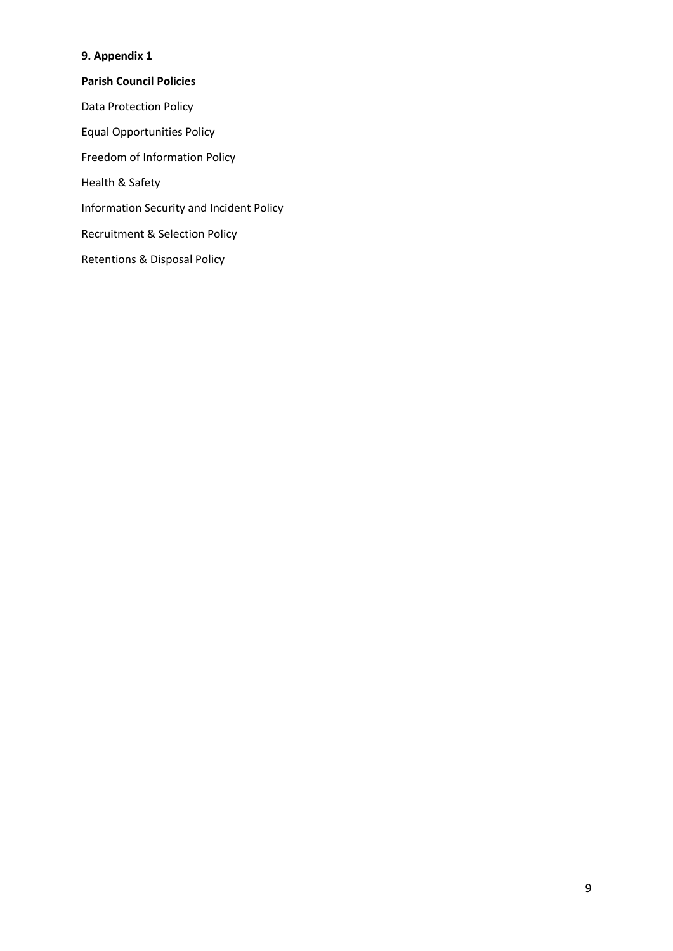# **9. Appendix 1**

**Parish Council Policies** Data Protection Policy Equal Opportunities Policy Freedom of Information Policy Health & Safety Information Security and Incident Policy Recruitment & Selection Policy Retentions & Disposal Policy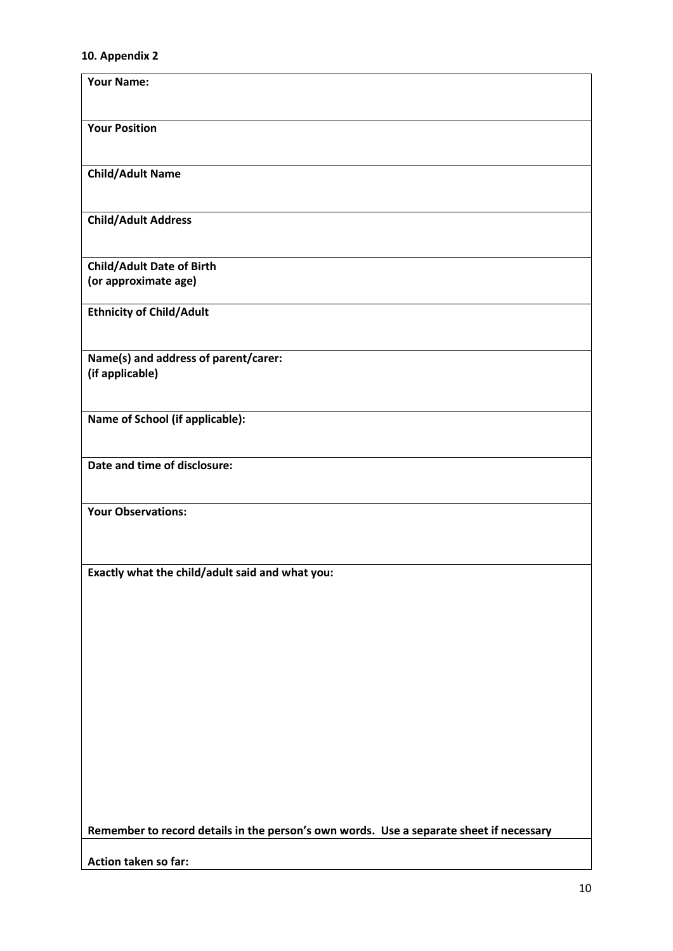#### **10. Appendix 2**

| <b>Your Name:</b>                                                                       |
|-----------------------------------------------------------------------------------------|
| <b>Your Position</b>                                                                    |
| <b>Child/Adult Name</b>                                                                 |
| <b>Child/Adult Address</b>                                                              |
| <b>Child/Adult Date of Birth</b><br>(or approximate age)                                |
| <b>Ethnicity of Child/Adult</b>                                                         |
| Name(s) and address of parent/carer:<br>(if applicable)                                 |
| Name of School (if applicable):                                                         |
| Date and time of disclosure:                                                            |
| <b>Your Observations:</b>                                                               |
| Exactly what the child/adult said and what you:                                         |
|                                                                                         |
|                                                                                         |
|                                                                                         |
|                                                                                         |
|                                                                                         |
| Remember to record details in the person's own words. Use a separate sheet if necessary |
| Action taken so far:                                                                    |